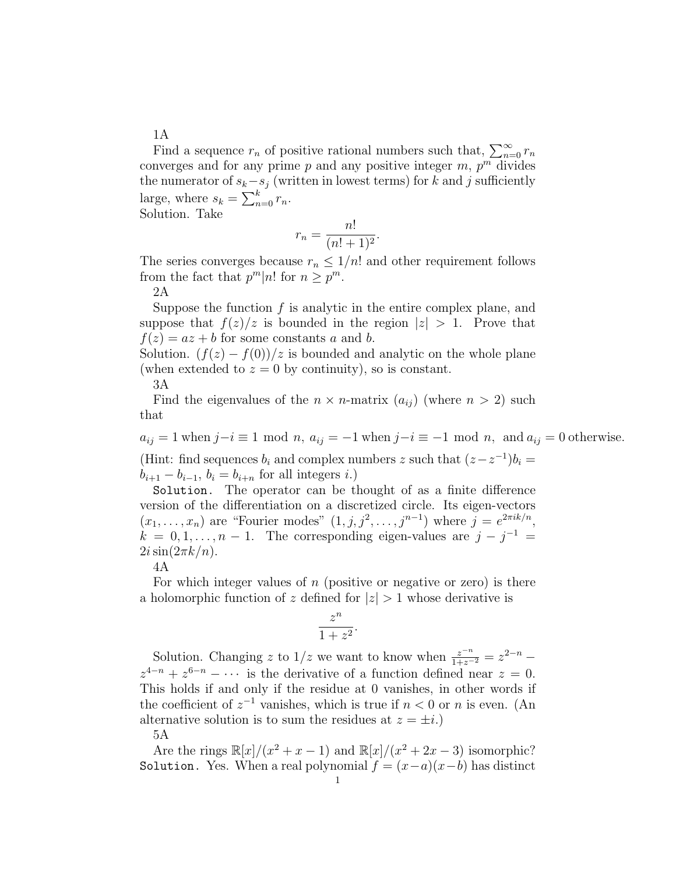Find a sequence  $r_n$  of positive rational numbers such that,  $\sum_{n=0}^{\infty} r_n$ converges and for any prime  $p$  and any positive integer  $m$ ,  $p^m$  divides the numerator of  $s_k - s_j$  (written in lowest terms) for k and j sufficiently large, where  $s_k = \sum_{n=0}^{k} r_n$ . Solution. Take

$$
r_n = \frac{n!}{(n!+1)^2}.
$$

The series converges because  $r_n \leq 1/n!$  and other requirement follows from the fact that  $p^m|n!$  for  $n \geq p^m$ .

2A

Suppose the function  $f$  is analytic in the entire complex plane, and suppose that  $f(z)/z$  is bounded in the region  $|z| > 1$ . Prove that  $f(z) = az + b$  for some constants a and b.

Solution.  $(f(z) - f(0))/z$  is bounded and analytic on the whole plane (when extended to  $z = 0$  by continuity), so is constant.

3A

Find the eigenvalues of the  $n \times n$ -matrix  $(a_{ij})$  (where  $n > 2$ ) such that

 $a_{ij} = 1$  when  $j-i \equiv 1 \mod n$ ,  $a_{ij} = -1$  when  $j-i \equiv -1 \mod n$ , and  $a_{ij} = 0$  otherwise. (Hint: find sequences  $b_i$  and complex numbers z such that  $(z-z^{-1})b_i =$  $b_{i+1} - b_{i-1}, b_i = b_{i+n}$  for all integers i.)

Solution. The operator can be thought of as a finite difference version of the differentiation on a discretized circle. Its eigen-vectors  $(x_1, \ldots, x_n)$  are "Fourier modes"  $(1, j, j^2, \ldots, j^{n-1})$  where  $j = e^{2\pi i k/n}$ ,  $k = 0, 1, \ldots, n - 1$ . The corresponding eigen-values are  $j - j^{-1} =$  $2i\sin(2\pi k/n)$ .

4A

For which integer values of  $n$  (positive or negative or zero) is there a holomorphic function of z defined for  $|z| > 1$  whose derivative is

$$
\frac{z^n}{1+z^2}.
$$

Solution. Changing z to  $1/z$  we want to know when  $\frac{z^{-n}}{1+z^{-2}} = z^{2-n}$  $z^{4-n} + z^{6-n} - \cdots$  is the derivative of a function defined near  $z = 0$ . This holds if and only if the residue at 0 vanishes, in other words if the coefficient of  $z^{-1}$  vanishes, which is true if  $n < 0$  or n is even. (An alternative solution is to sum the residues at  $z = \pm i$ .)

5A

Are the rings  $\mathbb{R}[x]/(x^2 + x - 1)$  and  $\mathbb{R}[x]/(x^2 + 2x - 3)$  isomorphic? Solution. Yes. When a real polynomial  $f = (x-a)(x-b)$  has distinct

1A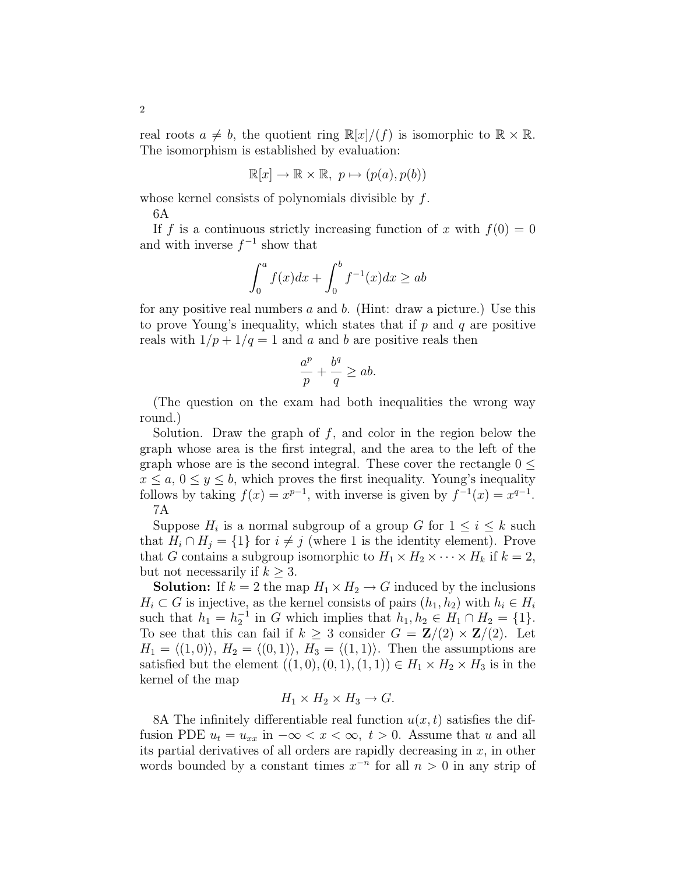real roots  $a \neq b$ , the quotient ring  $\mathbb{R}[x]/(f)$  is isomorphic to  $\mathbb{R} \times \mathbb{R}$ . The isomorphism is established by evaluation:

$$
\mathbb{R}[x] \to \mathbb{R} \times \mathbb{R}, \ p \mapsto (p(a), p(b))
$$

whose kernel consists of polynomials divisible by f.

6A

If f is a continuous strictly increasing function of x with  $f(0) = 0$ and with inverse  $f^{-1}$  show that

$$
\int_0^a f(x)dx + \int_0^b f^{-1}(x)dx \ge ab
$$

for any positive real numbers  $a$  and  $b$ . (Hint: draw a picture.) Use this to prove Young's inequality, which states that if  $p$  and  $q$  are positive reals with  $1/p + 1/q = 1$  and a and b are positive reals then

$$
\frac{a^p}{p} + \frac{b^q}{q} \ge ab.
$$

(The question on the exam had both inequalities the wrong way round.)

Solution. Draw the graph of  $f$ , and color in the region below the graph whose area is the first integral, and the area to the left of the graph whose are is the second integral. These cover the rectangle  $0 \leq$  $x \le a, 0 \le y \le b$ , which proves the first inequality. Young's inequality follows by taking  $f(x) = x^{p-1}$ , with inverse is given by  $f^{-1}(x) = x^{q-1}$ . 7A

Suppose  $H_i$  is a normal subgroup of a group G for  $1 \leq i \leq k$  such that  $H_i \cap H_j = \{1\}$  for  $i \neq j$  (where 1 is the identity element). Prove that G contains a subgroup isomorphic to  $H_1 \times H_2 \times \cdots \times H_k$  if  $k = 2$ , but not necessarily if  $k \geq 3$ .

**Solution:** If  $k = 2$  the map  $H_1 \times H_2 \to G$  induced by the inclusions  $H_i \subset G$  is injective, as the kernel consists of pairs  $(h_1, h_2)$  with  $h_i \in H_i$ such that  $h_1 = h_2^{-1}$  in G which implies that  $h_1, h_2 \in H_1 \cap H_2 = \{1\}.$ To see that this can fail if  $k \geq 3$  consider  $G = \mathbb{Z}/(2) \times \mathbb{Z}/(2)$ . Let  $H_1 = \langle (1, 0) \rangle$ ,  $H_2 = \langle (0, 1) \rangle$ ,  $H_3 = \langle (1, 1) \rangle$ . Then the assumptions are satisfied but the element  $((1,0),(0,1),(1,1)) \in H_1 \times H_2 \times H_3$  is in the kernel of the map

$$
H_1 \times H_2 \times H_3 \to G.
$$

8A The infinitely differentiable real function  $u(x, t)$  satisfies the diffusion PDE  $u_t = u_{xx}$  in  $-\infty < x < \infty$ ,  $t > 0$ . Assume that u and all its partial derivatives of all orders are rapidly decreasing in  $x$ , in other words bounded by a constant times  $x^{-n}$  for all  $n > 0$  in any strip of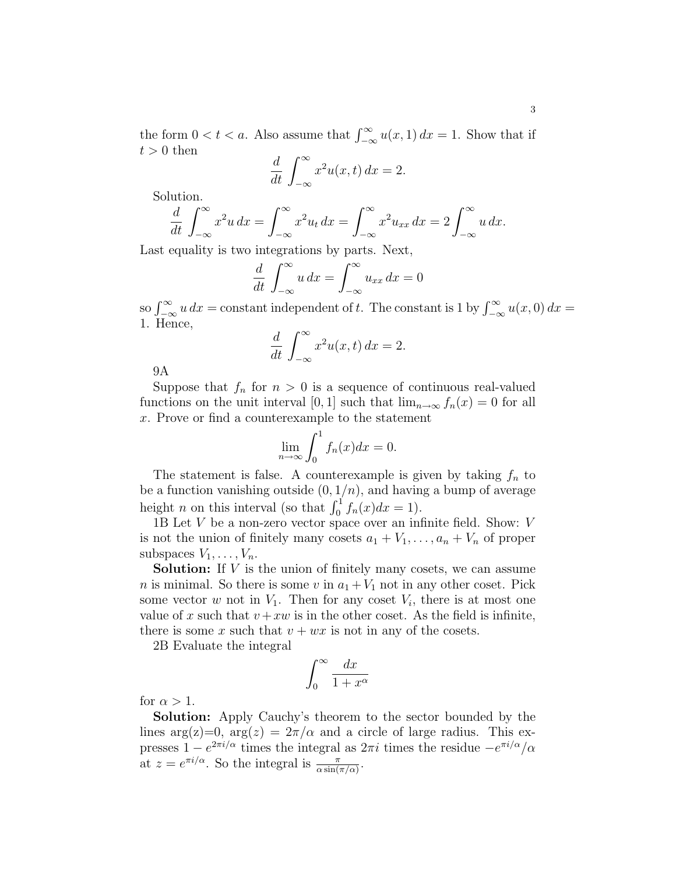the form  $0 < t < a$ . Also assume that  $\int_{-\infty}^{\infty} u(x, 1) dx = 1$ . Show that if  $t > 0$  then

$$
\frac{d}{dt} \int_{-\infty}^{\infty} x^2 u(x, t) \, dx = 2.
$$

Solution.

$$
\frac{d}{dt} \int_{-\infty}^{\infty} x^2 u \, dx = \int_{-\infty}^{\infty} x^2 u_t \, dx = \int_{-\infty}^{\infty} x^2 u_{xx} \, dx = 2 \int_{-\infty}^{\infty} u \, dx.
$$

Last equality is two integrations by parts. Next,

$$
\frac{d}{dt} \int_{-\infty}^{\infty} u \, dx = \int_{-\infty}^{\infty} u_{xx} \, dx = 0
$$

so  $\int_{-\infty}^{\infty} u \, dx =$  constant independent of t. The constant is 1 by  $\int_{-\infty}^{\infty} u(x,0) \, dx =$ 1. Hence,

$$
\frac{d}{dt} \int_{-\infty}^{\infty} x^2 u(x, t) \, dx = 2.
$$

9A

Suppose that  $f_n$  for  $n > 0$  is a sequence of continuous real-valued functions on the unit interval [0, 1] such that  $\lim_{n\to\infty} f_n(x) = 0$  for all x. Prove or find a counterexample to the statement

$$
\lim_{n \to \infty} \int_0^1 f_n(x) dx = 0.
$$

The statement is false. A counterexample is given by taking  $f_n$  to be a function vanishing outside  $(0, 1/n)$ , and having a bump of average height *n* on this interval (so that  $\int_0^1 f_n(x)dx = 1$ ).

1B Let  $V$  be a non-zero vector space over an infinite field. Show:  $V$ is not the union of finitely many cosets  $a_1 + V_1, \ldots, a_n + V_n$  of proper subspaces  $V_1, \ldots, V_n$ .

Solution: If V is the union of finitely many cosets, we can assume *n* is minimal. So there is some *v* in  $a_1 + V_1$  not in any other coset. Pick some vector  $w$  not in  $V_1$ . Then for any coset  $V_i$ , there is at most one value of x such that  $v + xw$  is in the other coset. As the field is infinite, there is some x such that  $v + wx$  is not in any of the cosets.

2B Evaluate the integral

$$
\int_0^\infty \frac{dx}{1+x^\alpha}
$$

for  $\alpha > 1$ .

Solution: Apply Cauchy's theorem to the sector bounded by the lines arg(z)=0, arg(z) =  $2\pi/\alpha$  and a circle of large radius. This expresses  $1 - e^{2\pi i/\alpha}$  times the integral as  $2\pi i$  times the residue  $-e^{\pi i/\alpha}/\alpha$ at  $z = e^{\pi i/\alpha}$ . So the integral is  $\frac{\pi}{\alpha \sin(\pi/\alpha)}$ .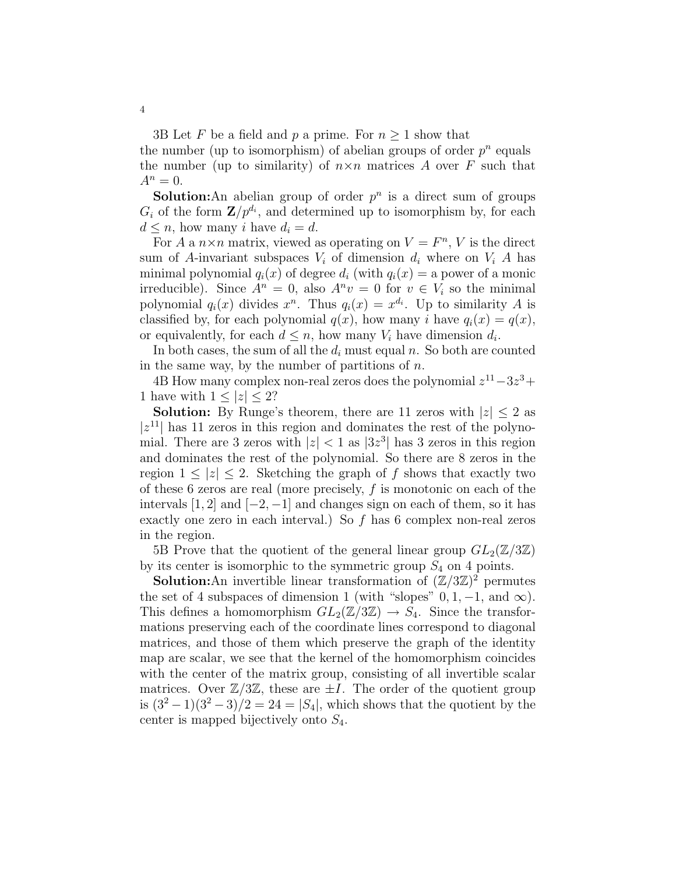3B Let F be a field and p a prime. For  $n \geq 1$  show that the number (up to isomorphism) of abelian groups of order  $p^n$  equals the number (up to similarity) of  $n \times n$  matrices A over F such that  $A^n = 0.$ 

**Solution:**An abelian group of order  $p^n$  is a direct sum of groups  $G_i$  of the form  $\mathbf{Z}/p^{d_i}$ , and determined up to isomorphism by, for each  $d \leq n$ , how many i have  $d_i = d$ .

For A a  $n \times n$  matrix, viewed as operating on  $V = F<sup>n</sup>$ , V is the direct sum of A-invariant subspaces  $V_i$  of dimension  $d_i$  where on  $V_i$  A has minimal polynomial  $q_i(x)$  of degree  $d_i$  (with  $q_i(x) = a$  power of a monic irreducible). Since  $A^n = 0$ , also  $A^n v = 0$  for  $v \in V_i$  so the minimal polynomial  $q_i(x)$  divides  $x^n$ . Thus  $q_i(x) = x^{d_i}$ . Up to similarity A is classified by, for each polynomial  $q(x)$ , how many i have  $q_i(x) = q(x)$ , or equivalently, for each  $d \leq n$ , how many  $V_i$  have dimension  $d_i$ .

In both cases, the sum of all the  $d_i$  must equal n. So both are counted in the same way, by the number of partitions of  $n$ .

4B How many complex non-real zeros does the polynomial  $z^{11}-3z^3+$ 1 have with  $1 \leq |z| \leq 2$ ?

**Solution:** By Runge's theorem, there are 11 zeros with  $|z| \leq 2$  as  $|z^{11}|$  has 11 zeros in this region and dominates the rest of the polynomial. There are 3 zeros with  $|z| < 1$  as  $|3z^3|$  has 3 zeros in this region and dominates the rest of the polynomial. So there are 8 zeros in the region  $1 \leq |z| \leq 2$ . Sketching the graph of f shows that exactly two of these 6 zeros are real (more precisely,  $f$  is monotonic on each of the intervals  $[1, 2]$  and  $[-2, -1]$  and changes sign on each of them, so it has exactly one zero in each interval.) So  $f$  has 6 complex non-real zeros in the region.

5B Prove that the quotient of the general linear group  $GL_2(\mathbb{Z}/3\mathbb{Z})$ by its center is isomorphic to the symmetric group  $S_4$  on 4 points.

**Solution:**An invertible linear transformation of  $(\mathbb{Z}/3\mathbb{Z})^2$  permutes the set of 4 subspaces of dimension 1 (with "slopes"  $0, 1, -1$ , and  $\infty$ ). This defines a homomorphism  $GL_2(\mathbb{Z}/3\mathbb{Z}) \to S_4$ . Since the transformations preserving each of the coordinate lines correspond to diagonal matrices, and those of them which preserve the graph of the identity map are scalar, we see that the kernel of the homomorphism coincides with the center of the matrix group, consisting of all invertible scalar matrices. Over  $\mathbb{Z}/3\mathbb{Z}$ , these are  $\pm I$ . The order of the quotient group is  $(3^2-1)(3^2-3)/2 = 24 = |S_4|$ , which shows that the quotient by the center is mapped bijectively onto  $S_4$ .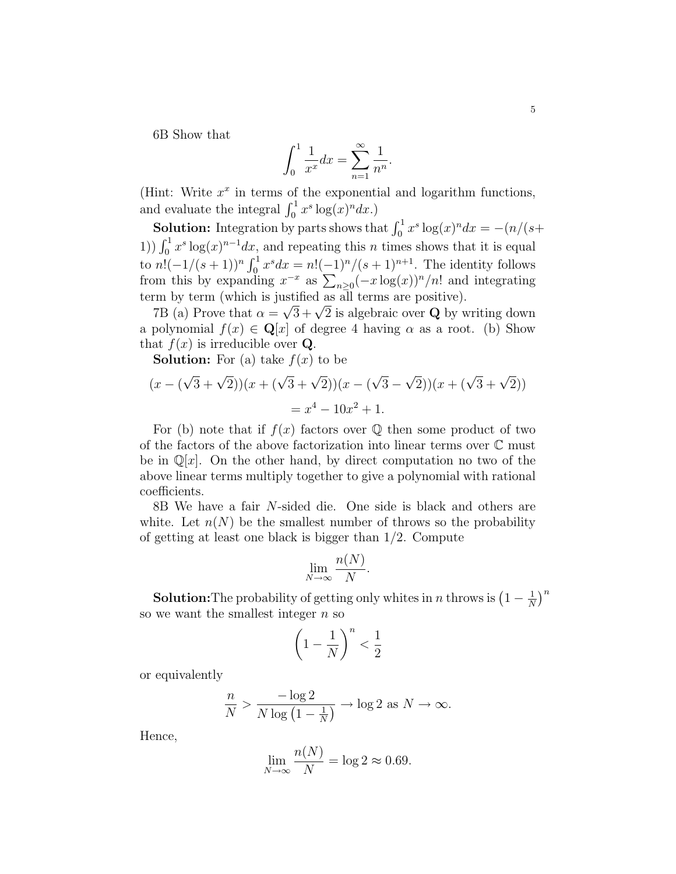6B Show that

$$
\int_0^1 \frac{1}{x^x} dx = \sum_{n=1}^\infty \frac{1}{n^n}.
$$

(Hint: Write  $x^x$  in terms of the exponential and logarithm functions, and evaluate the integral  $\int_0^1 x^s \log(x)^n dx$ .)

**Solution:** Integration by parts shows that  $\int_0^1 x^s \log(x)^n dx = -\frac{n}{s+1}$ 1))  $\int_0^1 x^s \log(x)^{n-1} dx$ , and repeating this *n* times shows that it is equal to  $n!(-1/(s+1))^n \int_0^1 x^s dx = n!(-1)^n/(s+1)^{n+1}$ . The identity follows from this by expanding  $x^{-x}$  as  $\sum_{n\geq 0}(-x\log(x))^n/n!$  and integrating term by term (which is justified as all terms are positive).

The by term (which is justified as all terms are positive).<br>
7B (a) Prove that  $\alpha = \sqrt{3} + \sqrt{2}$  is algebraic over **Q** by writing down a polynomial  $f(x) \in \mathbf{Q}[x]$  of degree 4 having  $\alpha$  as a root. (b) Show that  $f(x)$  is irreducible over **Q**.

**Solution:** For (a) take  $f(x)$  to be

$$
(x - (\sqrt{3} + \sqrt{2}))(x + (\sqrt{3} + \sqrt{2}))(x - (\sqrt{3} - \sqrt{2}))(x + (\sqrt{3} + \sqrt{2}))
$$
  
=  $x^4 - 10x^2 + 1$ .

For (b) note that if  $f(x)$  factors over  $\mathbb Q$  then some product of two of the factors of the above factorization into linear terms over C must be in  $\mathbb{Q}[x]$ . On the other hand, by direct computation no two of the above linear terms multiply together to give a polynomial with rational coefficients.

8B We have a fair N-sided die. One side is black and others are white. Let  $n(N)$  be the smallest number of throws so the probability of getting at least one black is bigger than 1/2. Compute

$$
\lim_{N \to \infty} \frac{n(N)}{N}.
$$

**Solution:** The probability of getting only whites in *n* throws is  $\left(1 - \frac{1}{N}\right)$  $\frac{1}{N}$ <sup>n</sup> so we want the smallest integer  $n$  so

$$
\left(1 - \frac{1}{N}\right)^n < \frac{1}{2}
$$

or equivalently

$$
\frac{n}{N} > \frac{-\log 2}{N \log \left(1 - \frac{1}{N}\right)} \to \log 2 \text{ as } N \to \infty.
$$

Hence,

$$
\lim_{N \to \infty} \frac{n(N)}{N} = \log 2 \approx 0.69.
$$